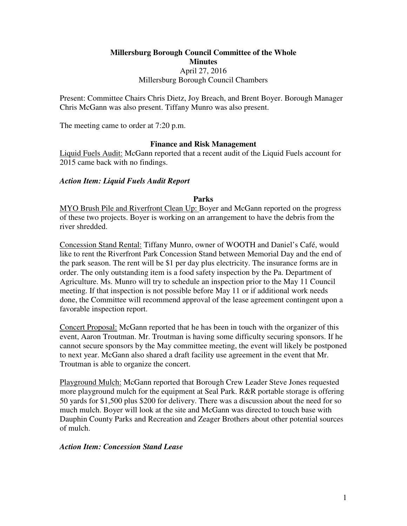# **Millersburg Borough Council Committee of the Whole Minutes**  April 27, 2016 Millersburg Borough Council Chambers

Present: Committee Chairs Chris Dietz, Joy Breach, and Brent Boyer. Borough Manager Chris McGann was also present. Tiffany Munro was also present.

The meeting came to order at 7:20 p.m.

## **Finance and Risk Management**

Liquid Fuels Audit: McGann reported that a recent audit of the Liquid Fuels account for 2015 came back with no findings.

#### *Action Item: Liquid Fuels Audit Report*

#### **Parks**

MYO Brush Pile and Riverfront Clean Up: Boyer and McGann reported on the progress of these two projects. Boyer is working on an arrangement to have the debris from the river shredded.

Concession Stand Rental: Tiffany Munro, owner of WOOTH and Daniel's Café, would like to rent the Riverfront Park Concession Stand between Memorial Day and the end of the park season. The rent will be \$1 per day plus electricity. The insurance forms are in order. The only outstanding item is a food safety inspection by the Pa. Department of Agriculture. Ms. Munro will try to schedule an inspection prior to the May 11 Council meeting. If that inspection is not possible before May 11 or if additional work needs done, the Committee will recommend approval of the lease agreement contingent upon a favorable inspection report.

Concert Proposal: McGann reported that he has been in touch with the organizer of this event, Aaron Troutman. Mr. Troutman is having some difficulty securing sponsors. If he cannot secure sponsors by the May committee meeting, the event will likely be postponed to next year. McGann also shared a draft facility use agreement in the event that Mr. Troutman is able to organize the concert.

Playground Mulch: McGann reported that Borough Crew Leader Steve Jones requested more playground mulch for the equipment at Seal Park. R&R portable storage is offering 50 yards for \$1,500 plus \$200 for delivery. There was a discussion about the need for so much mulch. Boyer will look at the site and McGann was directed to touch base with Dauphin County Parks and Recreation and Zeager Brothers about other potential sources of mulch.

## *Action Item: Concession Stand Lease*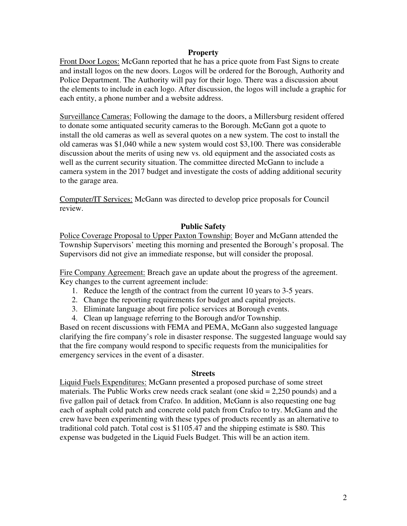## **Property**

Front Door Logos: McGann reported that he has a price quote from Fast Signs to create and install logos on the new doors. Logos will be ordered for the Borough, Authority and Police Department. The Authority will pay for their logo. There was a discussion about the elements to include in each logo. After discussion, the logos will include a graphic for each entity, a phone number and a website address.

Surveillance Cameras: Following the damage to the doors, a Millersburg resident offered to donate some antiquated security cameras to the Borough. McGann got a quote to install the old cameras as well as several quotes on a new system. The cost to install the old cameras was \$1,040 while a new system would cost \$3,100. There was considerable discussion about the merits of using new vs. old equipment and the associated costs as well as the current security situation. The committee directed McGann to include a camera system in the 2017 budget and investigate the costs of adding additional security to the garage area.

Computer/IT Services: McGann was directed to develop price proposals for Council review.

#### **Public Safety**

Police Coverage Proposal to Upper Paxton Township: Boyer and McGann attended the Township Supervisors' meeting this morning and presented the Borough's proposal. The Supervisors did not give an immediate response, but will consider the proposal.

Fire Company Agreement: Breach gave an update about the progress of the agreement. Key changes to the current agreement include:

- 1. Reduce the length of the contract from the current 10 years to 3-5 years.
- 2. Change the reporting requirements for budget and capital projects.
- 3. Eliminate language about fire police services at Borough events.
- 4. Clean up language referring to the Borough and/or Township.

Based on recent discussions with FEMA and PEMA, McGann also suggested language clarifying the fire company's role in disaster response. The suggested language would say that the fire company would respond to specific requests from the municipalities for emergency services in the event of a disaster.

#### **Streets**

Liquid Fuels Expenditures: McGann presented a proposed purchase of some street materials. The Public Works crew needs crack sealant (one skid  $= 2,250$  pounds) and a five gallon pail of detack from Crafco. In addition, McGann is also requesting one bag each of asphalt cold patch and concrete cold patch from Crafco to try. McGann and the crew have been experimenting with these types of products recently as an alternative to traditional cold patch. Total cost is \$1105.47 and the shipping estimate is \$80. This expense was budgeted in the Liquid Fuels Budget. This will be an action item.